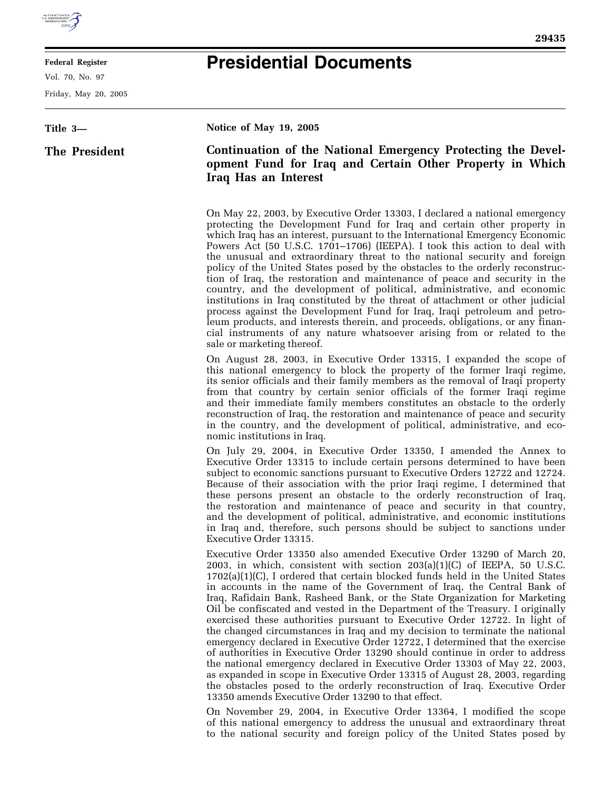

## **Federal Register**

Vol. 70, No. 97

Friday, May 20, 2005

## **Presidential Documents**

## **Title 3— The President Notice of May 19, 2005 Continuation of the National Emergency Protecting the Development Fund for Iraq and Certain Other Property in Which Iraq Has an Interest**  On May 22, 2003, by Executive Order 13303, I declared a national emergency protecting the Development Fund for Iraq and certain other property in which Iraq has an interest, pursuant to the International Emergency Economic Powers Act (50 U.S.C. 1701–1706) (IEEPA). I took this action to deal with the unusual and extraordinary threat to the national security and foreign policy of the United States posed by the obstacles to the orderly reconstruction of Iraq, the restoration and maintenance of peace and security in the country, and the development of political, administrative, and economic institutions in Iraq constituted by the threat of attachment or other judicial process against the Development Fund for Iraq, Iraqi petroleum and petroleum products, and interests therein, and proceeds, obligations, or any financial instruments of any nature whatsoever arising from or related to the sale or marketing thereof. On August 28, 2003, in Executive Order 13315, I expanded the scope of this national emergency to block the property of the former Iraqi regime, its senior officials and their family members as the removal of Iraqi property from that country by certain senior officials of the former Iraqi regime and their immediate family members constitutes an obstacle to the orderly reconstruction of Iraq, the restoration and maintenance of peace and security in the country, and the development of political, administrative, and economic institutions in Iraq. On July 29, 2004, in Executive Order 13350, I amended the Annex to Executive Order 13315 to include certain persons determined to have been subject to economic sanctions pursuant to Executive Orders 12722 and 12724. Because of their association with the prior Iraqi regime, I determined that these persons present an obstacle to the orderly reconstruction of Iraq, the restoration and maintenance of peace and security in that country, and the development of political, administrative, and economic institutions in Iraq and, therefore, such persons should be subject to sanctions under Executive Order 13315. Executive Order 13350 also amended Executive Order 13290 of March 20, 2003, in which, consistent with section 203(a)(1)(C) of IEEPA, 50 U.S.C.  $1702(a)(1)(C)$ , I ordered that certain blocked funds held in the United States in accounts in the name of the Government of Iraq, the Central Bank of Iraq, Rafidain Bank, Rasheed Bank, or the State Organization for Marketing Oil be confiscated and vested in the Department of the Treasury. I originally exercised these authorities pursuant to Executive Order 12722. In light of the changed circumstances in Iraq and my decision to terminate the national emergency declared in Executive Order 12722, I determined that the exercise of authorities in Executive Order 13290 should continue in order to address the national emergency declared in Executive Order 13303 of May 22, 2003, as expanded in scope in Executive Order 13315 of August 28, 2003, regarding the obstacles posed to the orderly reconstruction of Iraq. Executive Order 13350 amends Executive Order 13290 to that effect. On November 29, 2004, in Executive Order 13364, I modified the scope of this national emergency to address the unusual and extraordinary threat to the national security and foreign policy of the United States posed by